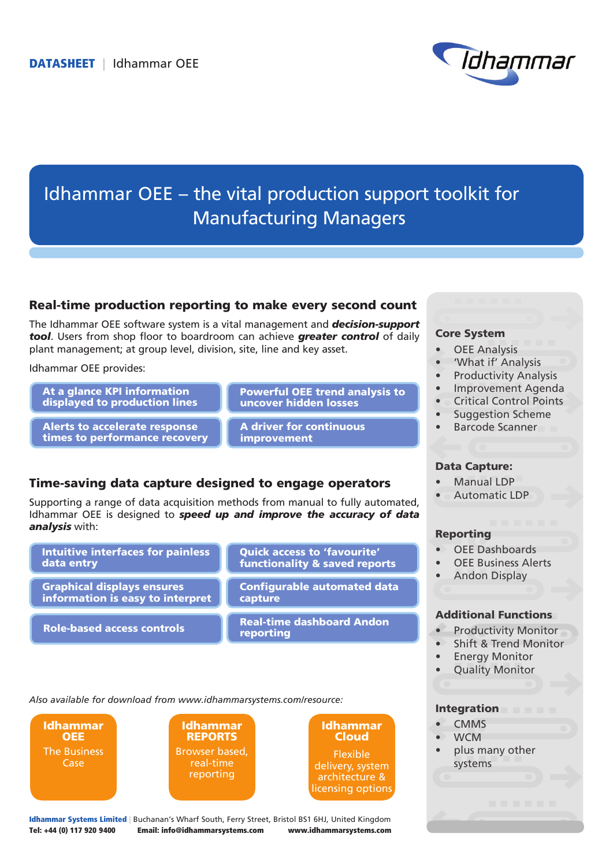

# Idhammar OEE – the vital production support toolkit for Manufacturing Managers

### Real-time production reporting to make every second count

The Idhammar OEE software system is a vital management and *decision-support tool*. Users from shop floor to boardroom can achieve *greater control* of daily plant management; at group level, division, site, line and key asset.

Idhammar OEE provides:

At a glance KPI information displayed to production lines

Alerts to accelerate response times to performance recovery Powerful OEE trend analysis to uncover hidden losses

A driver for continuous improvement

## Time-saving data capture designed to engage operators

Supporting a range of data acquisition methods from manual to fully automated, Idhammar OEE is designed to *speed up and improve the accuracy of data analysis* with:

| <b>Intuitive interfaces for painless</b> | <b>Quick access to 'favourite'</b>            |
|------------------------------------------|-----------------------------------------------|
| data entry                               | functionality & saved reports                 |
| <b>Graphical displays ensures</b>        | <b>Configurable automated data</b>            |
| information is easy to interpret         | capture                                       |
| <b>Role-based access controls</b>        | <b>Real-time dashboard Andon</b><br>reporting |

*Also available for download from www.idhammarsystems.com/resource:*

Idhammar **OEE** The Business Case





Idhammar Systems Limited | Buchanan's Wharf South, Ferry Street, Bristol BS1 6HJ, United Kingdom Tel: +44 (0) 117 920 9400 Email: info@idhammarsystems.com www.idhammarsystems.com

#### Core System

- **OEE Analysis**
- 'What if' Analysis
- **Productivity Analysis**
- • Improvement Agenda
- **Critical Control Points**
- Suggestion Scheme
- Barcode Scanner

### Data Capture:

- Manual LDP
- Automatic LDP

#### Reporting

- OFF Dashboards
- **OEE Business Alerts**
- **Andon Display**

### Additional Functions

- Productivity Monitor
- Shift & Trend Monitor
- **Energy Monitor**
- **Quality Monitor**

#### **Integration**

- **CMMS**
- **WCM**
- plus many other systems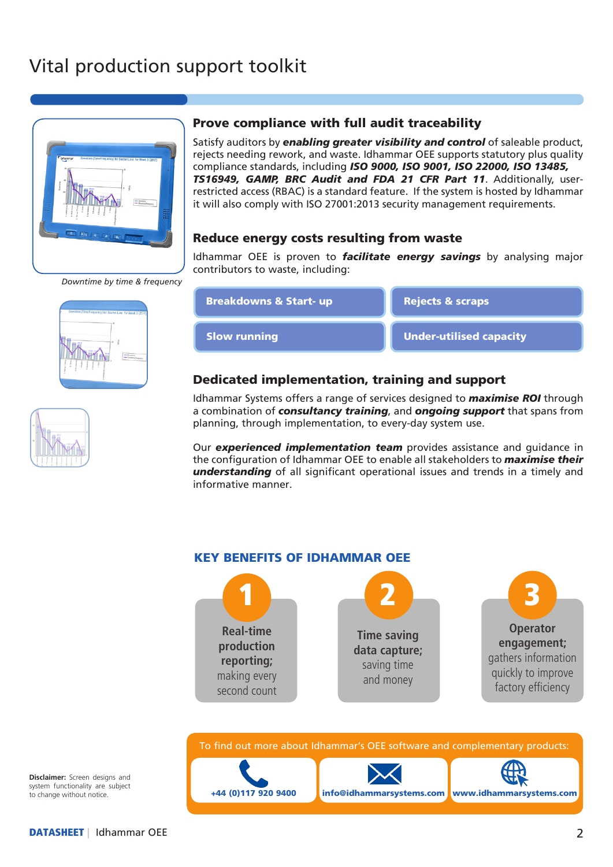# Vital production support toolkit



*Downtime by time & frequency*



$$
\left(\frac{1}{\sqrt{1-\frac{1}{2}}}\right)^{1/2}
$$

## Prove compliance with full audit traceability

Satisfy auditors by *enabling greater visibility and control* of saleable product, rejects needing rework, and waste. Idhammar OEE supports statutory plus quality compliance standards, including *ISO 9000, ISO 9001, ISO 22000, ISO 13485, TS16949, GAMP, BRC Audit and FDA 21 CFR Part 11*. Additionally, userrestricted access (RBAC) is a standard feature. If the system is hosted by Idhammar it will also comply with ISO 27001:2013 security management requirements.

## Reduce energy costs resulting from waste

Idhammar OEE is proven to *facilitate energy savings* by analysing major contributors to waste, including:



## Dedicated implementation, training and support

Idhammar Systems offers a range of services designed to *maximise ROI* through a combination of *consultancy training*, and *ongoing support* that spans from planning, through implementation, to every-day system use.

Our *experienced implementation team* provides assistance and guidance in the configuration of Idhammar OEE to enable all stakeholders to *maximise their understanding* of all significant operational issues and trends in a timely and informative manner.



To find out more about Idhammar's OEE software and complementary products:





**Disclaimer:** Screen designs and system functionality are subject to change without notice.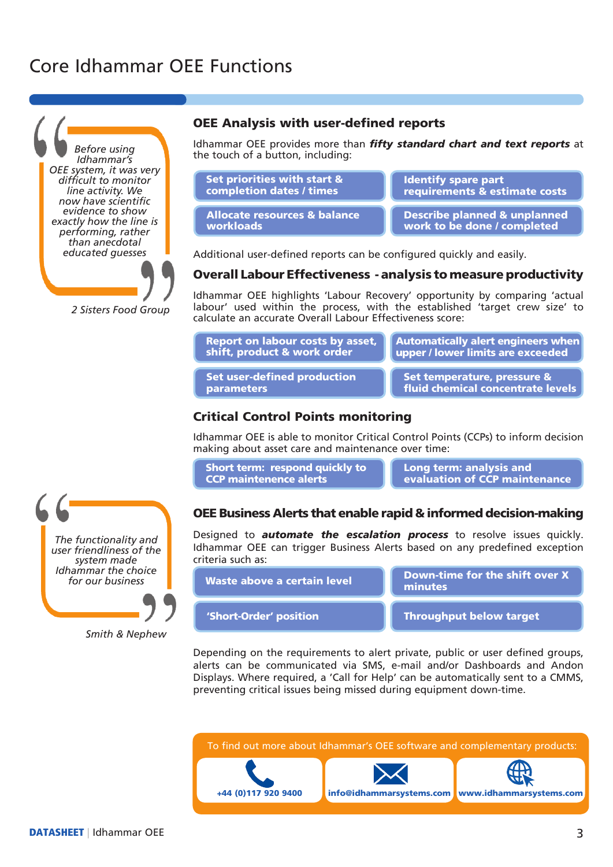# Core Idhammar OEE Functions



*2 Sisters Food Group*

### OEE Analysis with user-defined reports

Idhammar OEE provides more than *fifty standard chart and text reports* at the touch of a button, including:

| Set priorities with start &             | <b>Identify spare part</b>              |
|-----------------------------------------|-----------------------------------------|
| completion dates / times                | requirements & estimate costs           |
| <b>Allocate resources &amp; balance</b> | <b>Describe planned &amp; unplanned</b> |
| workloads                               | work to be done / completed             |

Additional user-defined reports can be configured quickly and easily.

#### Overall Labour Effectiveness - analysis to measure productivity

Idhammar OEE highlights 'Labour Recovery' opportunity by comparing 'actual labour' used within the process, with the established 'target crew size' to calculate an accurate Overall Labour Effectiveness score:

|  | <b>Report on labour costs by asset,</b> |  |
|--|-----------------------------------------|--|
|  | shift, product & work order             |  |

Automatically alert engineers when $\vert$ upper / lower limits are exceeded

Set user-defined production parameters

Set temperature, pressure & fluid chemical concentrate levels

### Critical Control Points monitoring

Idhammar OEE is able to monitor Critical Control Points (CCPs) to inform decision making about asset care and maintenance over time:

| Short term: respond quickly to |  |
|--------------------------------|--|
| <b>CCP</b> maintenence alerts  |  |

Long term: analysis and evaluation of CCP maintenance

### OEE Business Alerts that enable rapid & informed decision-making

Designed to *automate the escalation process* to resolve issues quickly. Idhammar OEE can trigger Business Alerts based on any predefined exception criteria such as:

Waste above a certain level

Down-time for the shift over X minutes

'Short-Order' position Throughput below target

Depending on the requirements to alert private, public or user defined groups, alerts can be communicated via SMS, e-mail and/or Dashboards and Andon Displays. Where required, a 'Call for Help' can be automatically sent to a CMMS, preventing critical issues being missed during equipment down-time.





*Smith & Nephew*